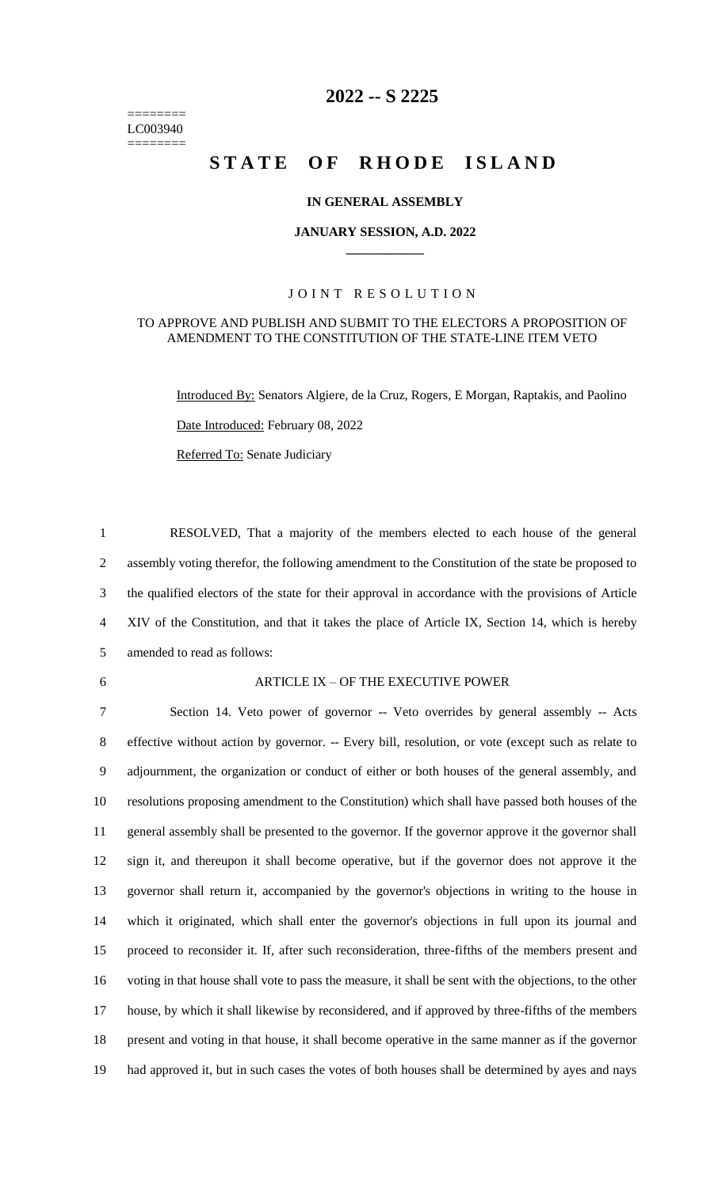======== LC003940 ========

# **-- S 2225**

# STATE OF RHODE ISLAND

### **IN GENERAL ASSEMBLY**

### **JANUARY SESSION, A.D. 2022 \_\_\_\_\_\_\_\_\_\_\_\_**

## JOINT RESOLUTION

### TO APPROVE AND PUBLISH AND SUBMIT TO THE ELECTORS A PROPOSITION OF AMENDMENT TO THE CONSTITUTION OF THE STATE-LINE ITEM VETO

Introduced By: Senators Algiere, de la Cruz, Rogers, E Morgan, Raptakis, and Paolino Date Introduced: February 08, 2022 Referred To: Senate Judiciary

 RESOLVED, That a majority of the members elected to each house of the general assembly voting therefor, the following amendment to the Constitution of the state be proposed to the qualified electors of the state for their approval in accordance with the provisions of Article XIV of the Constitution, and that it takes the place of Article IX, Section 14, which is hereby amended to read as follows:

### ARTICLE IX – OF THE EXECUTIVE POWER

 Section 14. Veto power of governor -- Veto overrides by general assembly -- Acts effective without action by governor. -- Every bill, resolution, or vote (except such as relate to adjournment, the organization or conduct of either or both houses of the general assembly, and resolutions proposing amendment to the Constitution) which shall have passed both houses of the general assembly shall be presented to the governor. If the governor approve it the governor shall sign it, and thereupon it shall become operative, but if the governor does not approve it the governor shall return it, accompanied by the governor's objections in writing to the house in which it originated, which shall enter the governor's objections in full upon its journal and proceed to reconsider it. If, after such reconsideration, three-fifths of the members present and voting in that house shall vote to pass the measure, it shall be sent with the objections, to the other house, by which it shall likewise by reconsidered, and if approved by three-fifths of the members present and voting in that house, it shall become operative in the same manner as if the governor had approved it, but in such cases the votes of both houses shall be determined by ayes and nays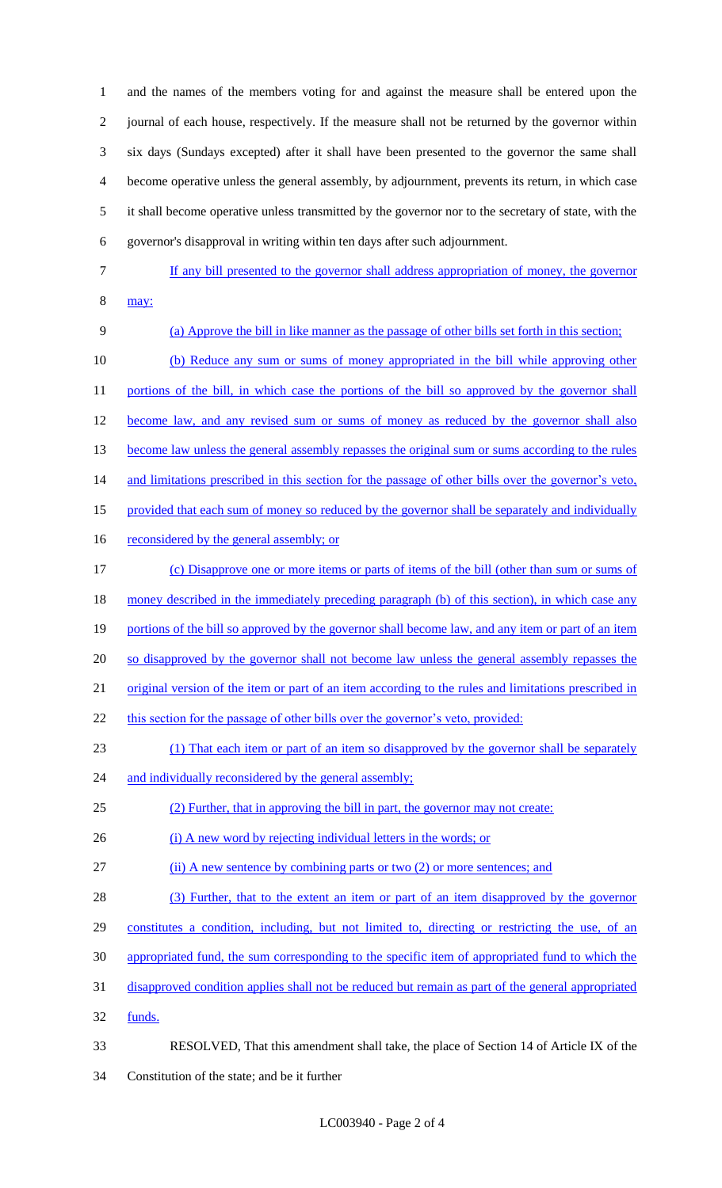and the names of the members voting for and against the measure shall be entered upon the journal of each house, respectively. If the measure shall not be returned by the governor within six days (Sundays excepted) after it shall have been presented to the governor the same shall become operative unless the general assembly, by adjournment, prevents its return, in which case it shall become operative unless transmitted by the governor nor to the secretary of state, with the governor's disapproval in writing within ten days after such adjournment.

- 
- 7 If any bill presented to the governor shall address appropriation of money, the governor 8 may:
- 

9 (a) Approve the bill in like manner as the passage of other bills set forth in this section; 10 (b) Reduce any sum or sums of money appropriated in the bill while approving other 11 portions of the bill, in which case the portions of the bill so approved by the governor shall 12 become law, and any revised sum or sums of money as reduced by the governor shall also 13 become law unless the general assembly repasses the original sum or sums according to the rules 14 and limitations prescribed in this section for the passage of other bills over the governor's veto, 15 provided that each sum of money so reduced by the governor shall be separately and individually 16 reconsidered by the general assembly; or 17 (c) Disapprove one or more items or parts of items of the bill (other than sum or sums of 18 money described in the immediately preceding paragraph (b) of this section), in which case any 19 portions of the bill so approved by the governor shall become law, and any item or part of an item 20 so disapproved by the governor shall not become law unless the general assembly repasses the 21 original version of the item or part of an item according to the rules and limitations prescribed in 22 this section for the passage of other bills over the governor's veto, provided: 23 (1) That each item or part of an item so disapproved by the governor shall be separately 24 and individually reconsidered by the general assembly; 25 (2) Further, that in approving the bill in part, the governor may not create: 26 (i) A new word by rejecting individual letters in the words; or 27 (ii) A new sentence by combining parts or two (2) or more sentences; and 28 (3) Further, that to the extent an item or part of an item disapproved by the governor 29 constitutes a condition, including, but not limited to, directing or restricting the use, of an 30 appropriated fund, the sum corresponding to the specific item of appropriated fund to which the 31 disapproved condition applies shall not be reduced but remain as part of the general appropriated 32 funds. 33 RESOLVED, That this amendment shall take, the place of Section 14 of Article IX of the 34 Constitution of the state; and be it further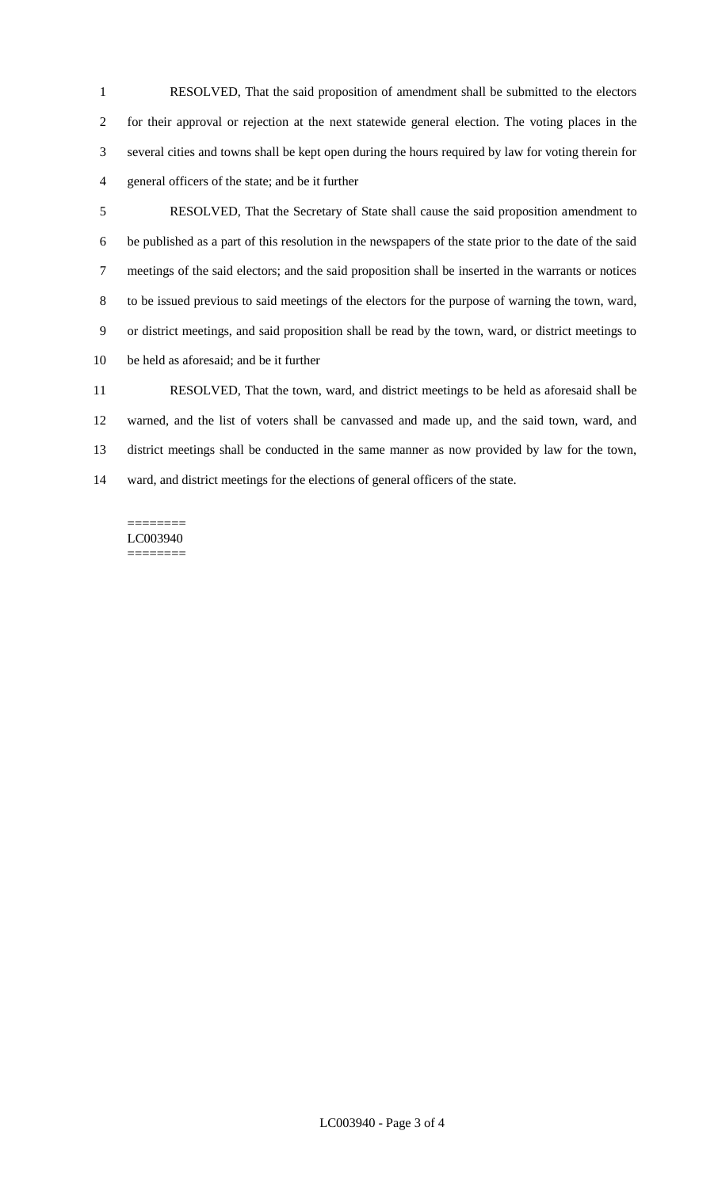RESOLVED, That the said proposition of amendment shall be submitted to the electors for their approval or rejection at the next statewide general election. The voting places in the several cities and towns shall be kept open during the hours required by law for voting therein for general officers of the state; and be it further

 RESOLVED, That the Secretary of State shall cause the said proposition amendment to be published as a part of this resolution in the newspapers of the state prior to the date of the said meetings of the said electors; and the said proposition shall be inserted in the warrants or notices to be issued previous to said meetings of the electors for the purpose of warning the town, ward, or district meetings, and said proposition shall be read by the town, ward, or district meetings to be held as aforesaid; and be it further

 RESOLVED, That the town, ward, and district meetings to be held as aforesaid shall be warned, and the list of voters shall be canvassed and made up, and the said town, ward, and district meetings shall be conducted in the same manner as now provided by law for the town, ward, and district meetings for the elections of general officers of the state.

#### ======== LC003940 ========

LC003940 - Page 3 of 4